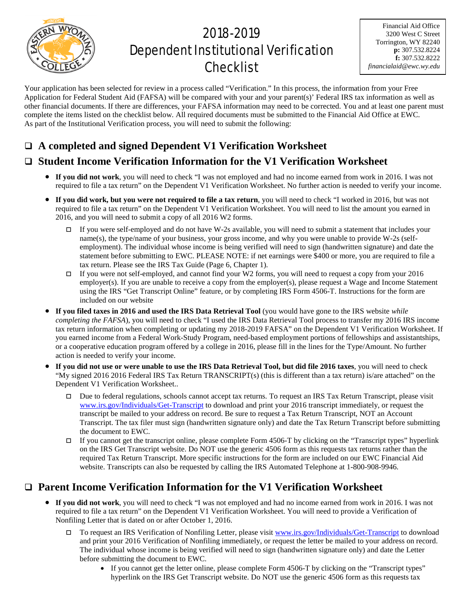

# 2018-2019 Dependent Institutional Verification **Checklist**

Financial Aid Office 3200 West C Street Torrington, WY 82240 **p:** 307.532.8224 **f:** 307.532.8222 *financialaid@ewc.wy.edu*

Your application has been selected for review in a process called "Verification." In this process, the information from your Free Application for Federal Student Aid (FAFSA) will be compared with your and your parent(s)' Federal IRS tax information as well as other financial documents. If there are differences, your FAFSA information may need to be corrected. You and at least one parent must complete the items listed on the checklist below. All required documents must be submitted to the Financial Aid Office at EWC. As part of the Institutional Verification process, you will need to submit the following:

## **A completed and signed Dependent V1 Verification Worksheet**

### **Student Income Verification Information for the V1 Verification Worksheet**

- **If you did not work**, you will need to check "I was not employed and had no income earned from work in 2016. I was not required to file a tax return" on the Dependent V1 Verification Worksheet. No further action is needed to verify your income.
- **If you did work, but you were not required to file a tax return**, you will need to check "I worked in 2016, but was not required to file a tax return" on the Dependent V1 Verification Worksheet. You will need to list the amount you earned in 2016, and you will need to submit a copy of all 2016 W2 forms.
	- If you were self-employed and do not have W-2s available, you will need to submit a statement that includes your name(s), the type/name of your business, your gross income, and why you were unable to provide W-2s (selfemployment). The individual whose income is being verified will need to sign (handwritten signature) and date the statement before submitting to EWC. PLEASE NOTE: if net earnings were \$400 or more, you are required to file a tax return. Please see the IRS Tax Guide (Page 6, Chapter 1).
	- If you were not self-employed, and cannot find your W2 forms, you will need to request a copy from your 2016 employer(s). If you are unable to receive a copy from the employer(s), please request a Wage and Income Statement using the IRS "Get Transcript Online" feature, or by completing IRS Form 4506-T. Instructions for the form are included on our website
- **If you filed taxes in 2016 and used the IRS Data Retrieval Tool** (you would have gone to the IRS website *while completing the FAFSA*), you will need to check "I used the IRS Data Retrieval Tool process to transfer my 2016 IRS income tax return information when completing or updating my 2018-2019 FAFSA" on the Dependent V1 Verification Worksheet. If you earned income from a Federal Work-Study Program, need-based employment portions of fellowships and assistantships, or a cooperative education program offered by a college in 2016, please fill in the lines for the Type/Amount. No further action is needed to verify your income.
- **If you did not use or were unable to use the IRS Data Retrieval Tool, but did file 2016 taxes**, you will need to check "My signed 2016 2016 Federal IRS Tax Return TRANSCRIPT(s) (this is different than a tax return) is/are attached" on the Dependent V1 Verification Worksheet..
	- Due to federal regulations, schools cannot accept tax returns. To request an IRS Tax Return Transcript, please visit [www.irs.gov/Individuals/Get-Transcript](http://www.irs.gov/Individuals/Get-Transcript) to download and print your 2016 transcript immediately, or request the transcript be mailed to your address on record. Be sure to request a Tax Return Transcript, NOT an Account Transcript. The tax filer must sign (handwritten signature only) and date the Tax Return Transcript before submitting the document to EWC.
	- If you cannot get the transcript online, please complete Form  $4506$ -T by clicking on the "Transcript types" hyperlink on the IRS Get Transcript website. Do NOT use the generic 4506 form as this requests tax returns rather than the required Tax Return Transcript. More specific instructions for the form are included on our EWC Financial Aid website. Transcripts can also be requested by calling the IRS Automated Telephone at 1-800-908-9946.

### **Parent Income Verification Information for the V1 Verification Worksheet**

- **If you did not work**, you will need to check "I was not employed and had no income earned from work in 2016. I was not required to file a tax return" on the Dependent V1 Verification Worksheet. You will need to provide a Verification of Nonfiling Letter that is dated on or after October 1, 2016.
	- $\Box$  To request an IRS Verification of Nonfiling Letter, please visit [www.irs.gov/Individuals/Get-Transcript](http://www.irs.gov/Individuals/Get-Transcript) to download and print your 2016 Verification of Nonfiling immediately, or request the letter be mailed to your address on record. The individual whose income is being verified will need to sign (handwritten signature only) and date the Letter before submitting the document to EWC.
		- If you cannot get the letter online, please complete Form 4506-T by clicking on the "Transcript types" hyperlink on the IRS Get Transcript website. Do NOT use the generic 4506 form as this requests tax